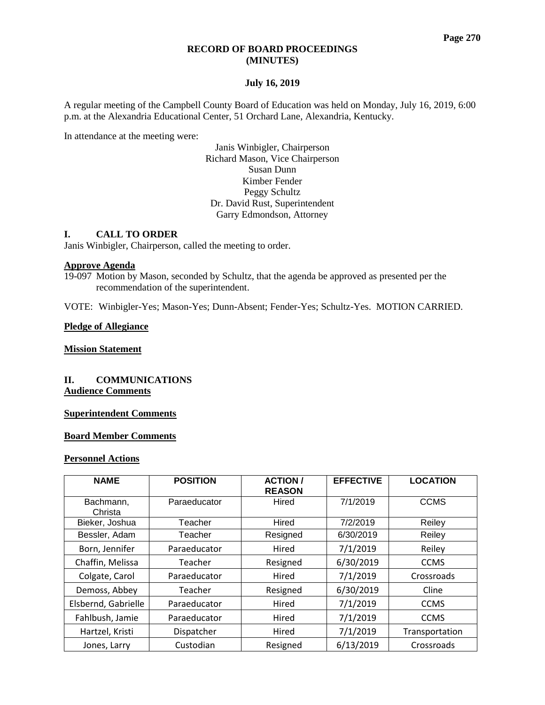#### **RECORD OF BOARD PROCEEDINGS (MINUTES)**

### **July 16, 2019**

A regular meeting of the Campbell County Board of Education was held on Monday, July 16, 2019, 6:00 p.m. at the Alexandria Educational Center, 51 Orchard Lane, Alexandria, Kentucky.

In attendance at the meeting were:

Janis Winbigler, Chairperson Richard Mason, Vice Chairperson Susan Dunn Kimber Fender Peggy Schultz Dr. David Rust, Superintendent Garry Edmondson, Attorney

### **I. CALL TO ORDER**

Janis Winbigler, Chairperson, called the meeting to order.

#### **Approve Agenda**

19-097 Motion by Mason, seconded by Schultz, that the agenda be approved as presented per the recommendation of the superintendent.

VOTE: Winbigler-Yes; Mason-Yes; Dunn-Absent; Fender-Yes; Schultz-Yes. MOTION CARRIED.

#### **Pledge of Allegiance**

## **Mission Statement**

## **II. COMMUNICATIONS Audience Comments**

## **Superintendent Comments**

### **Board Member Comments**

#### **Personnel Actions**

| <b>NAME</b>          | <b>POSITION</b> | <b>ACTION/</b><br><b>REASON</b> | <b>EFFECTIVE</b> | <b>LOCATION</b> |
|----------------------|-----------------|---------------------------------|------------------|-----------------|
| Bachmann,<br>Christa | Paraeducator    | Hired                           | 7/1/2019         | <b>CCMS</b>     |
| Bieker, Joshua       | Teacher         | Hired                           | 7/2/2019         | Reiley          |
| Bessler, Adam        | Teacher         | Resigned                        | 6/30/2019        | Reiley          |
| Born, Jennifer       | Paraeducator    | Hired                           | 7/1/2019         | Reiley          |
| Chaffin, Melissa     | Teacher         | Resigned                        | 6/30/2019        | <b>CCMS</b>     |
| Colgate, Carol       | Paraeducator    | Hired                           | 7/1/2019         | Crossroads      |
| Demoss, Abbey        | Teacher         | Resigned                        | 6/30/2019        | Cline           |
| Elsbernd, Gabrielle  | Paraeducator    | Hired                           | 7/1/2019         | <b>CCMS</b>     |
| Fahlbush, Jamie      | Paraeducator    | Hired                           | 7/1/2019         | <b>CCMS</b>     |
| Hartzel, Kristi      | Dispatcher      | Hired                           | 7/1/2019         | Transportation  |
| Jones, Larry         | Custodian       | Resigned                        | 6/13/2019        | Crossroads      |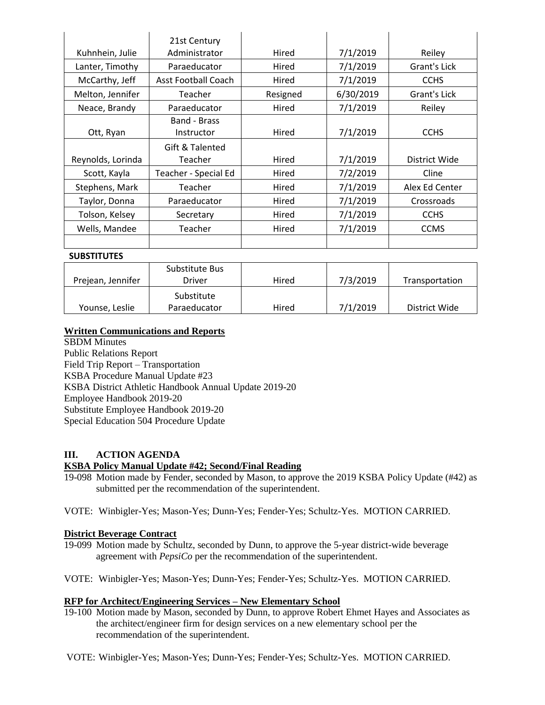|                   | 21st Century               |          |           |                |  |
|-------------------|----------------------------|----------|-----------|----------------|--|
| Kuhnhein, Julie   | Administrator              | Hired    | 7/1/2019  | Reiley         |  |
| Lanter, Timothy   | Paraeducator               | Hired    | 7/1/2019  | Grant's Lick   |  |
| McCarthy, Jeff    | <b>Asst Football Coach</b> | Hired    | 7/1/2019  | <b>CCHS</b>    |  |
| Melton, Jennifer  | Teacher                    | Resigned | 6/30/2019 | Grant's Lick   |  |
| Neace, Brandy     | Paraeducator               | Hired    | 7/1/2019  | Reiley         |  |
| Ott, Ryan         | Band - Brass<br>Instructor | Hired    | 7/1/2019  | <b>CCHS</b>    |  |
|                   | Gift & Talented            |          |           |                |  |
| Reynolds, Lorinda | Teacher                    | Hired    | 7/1/2019  | District Wide  |  |
| Scott, Kayla      | Teacher - Special Ed       |          | 7/2/2019  | Cline          |  |
| Stephens, Mark    | Teacher                    |          | 7/1/2019  | Alex Ed Center |  |
| Taylor, Donna     | Paraeducator               | Hired    | 7/1/2019  | Crossroads     |  |
| Tolson, Kelsey    | Secretary                  | Hired    | 7/1/2019  | <b>CCHS</b>    |  |
| Wells, Mandee     | Teacher                    | Hired    | 7/1/2019  | <b>CCMS</b>    |  |
|                   |                            |          |           |                |  |

### **SUBSTITUTES**

| Prejean, Jennifer | Substitute Bus<br>Driver   | Hired | 7/3/2019 | Transportation |
|-------------------|----------------------------|-------|----------|----------------|
| Younse, Leslie    | Substitute<br>Paraeducator | Hired | 7/1/2019 | District Wide  |

## **Written Communications and Reports**

SBDM Minutes Public Relations Report Field Trip Report – Transportation KSBA Procedure Manual Update #23 KSBA District Athletic Handbook Annual Update 2019-20 Employee Handbook 2019-20 Substitute Employee Handbook 2019-20 Special Education 504 Procedure Update

# **III. ACTION AGENDA**

## **KSBA Policy Manual Update #42; Second/Final Reading**

- 19-098 Motion made by Fender, seconded by Mason, to approve the 2019 KSBA Policy Update (#42) as submitted per the recommendation of the superintendent.
- VOTE: Winbigler-Yes; Mason-Yes; Dunn-Yes; Fender-Yes; Schultz-Yes. MOTION CARRIED.

#### **District Beverage Contract**

- 19-099 Motion made by Schultz, seconded by Dunn, to approve the 5-year district-wide beverage agreement with *PepsiCo* per the recommendation of the superintendent.
- VOTE: Winbigler-Yes; Mason-Yes; Dunn-Yes; Fender-Yes; Schultz-Yes. MOTION CARRIED.

### **RFP for Architect/Engineering Services – New Elementary School**

- 19-100 Motion made by Mason, seconded by Dunn, to approve Robert Ehmet Hayes and Associates as the architect/engineer firm for design services on a new elementary school per the recommendation of the superintendent.
- VOTE: Winbigler-Yes; Mason-Yes; Dunn-Yes; Fender-Yes; Schultz-Yes. MOTION CARRIED.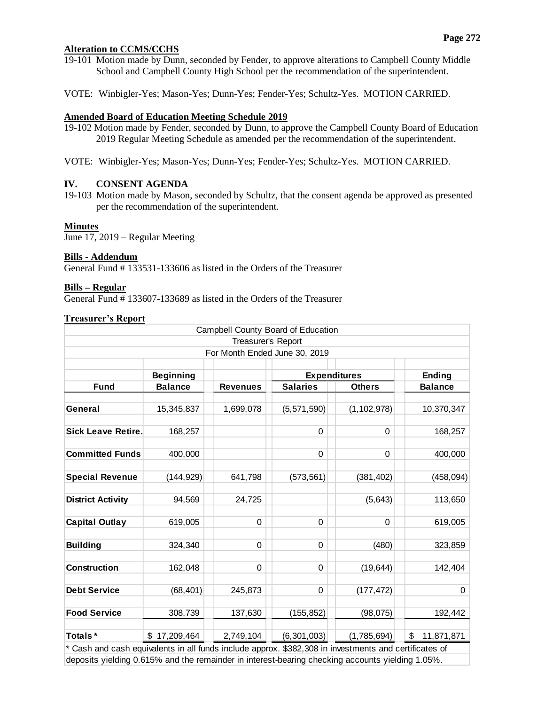## **Alteration to CCMS/CCHS**

- 19-101 Motion made by Dunn, seconded by Fender, to approve alterations to Campbell County Middle School and Campbell County High School per the recommendation of the superintendent.
- VOTE: Winbigler-Yes; Mason-Yes; Dunn-Yes; Fender-Yes; Schultz-Yes. MOTION CARRIED.

### **Amended Board of Education Meeting Schedule 2019**

- 19-102 Motion made by Fender, seconded by Dunn, to approve the Campbell County Board of Education 2019 Regular Meeting Schedule as amended per the recommendation of the superintendent.
- VOTE: Winbigler-Yes; Mason-Yes; Dunn-Yes; Fender-Yes; Schultz-Yes. MOTION CARRIED.

### **IV. CONSENT AGENDA**

19-103 Motion made by Mason, seconded by Schultz, that the consent agenda be approved as presented per the recommendation of the superintendent.

#### **Minutes**

June 17, 2019 – Regular Meeting

### **Bills - Addendum**

General Fund # 133531-133606 as listed in the Orders of the Treasurer

### **Bills – Regular**

General Fund # 133607-133689 as listed in the Orders of the Treasurer

### **Treasurer's Report**

| Campbell County Board of Education                                                                    |                  |                 |                     |               |                  |
|-------------------------------------------------------------------------------------------------------|------------------|-----------------|---------------------|---------------|------------------|
| Treasurer's Report                                                                                    |                  |                 |                     |               |                  |
| For Month Ended June 30, 2019                                                                         |                  |                 |                     |               |                  |
|                                                                                                       |                  |                 |                     |               |                  |
|                                                                                                       | <b>Beginning</b> |                 | <b>Expenditures</b> |               | <b>Ending</b>    |
| <b>Fund</b>                                                                                           | <b>Balance</b>   | <b>Revenues</b> | <b>Salaries</b>     | <b>Others</b> | <b>Balance</b>   |
|                                                                                                       |                  |                 |                     |               |                  |
| General                                                                                               | 15,345,837       | 1,699,078       | (5,571,590)         | (1, 102, 978) | 10,370,347       |
|                                                                                                       |                  |                 |                     |               |                  |
| <b>Sick Leave Retire.</b>                                                                             | 168,257          |                 | $\Omega$            | $\Omega$      | 168,257          |
|                                                                                                       |                  |                 |                     |               |                  |
| <b>Committed Funds</b>                                                                                | 400,000          |                 | 0                   | 0             | 400,000          |
|                                                                                                       |                  |                 |                     |               |                  |
| <b>Special Revenue</b>                                                                                | (144, 929)       | 641,798         | (573, 561)          | (381, 402)    | (458, 094)       |
|                                                                                                       |                  |                 |                     |               |                  |
| <b>District Activity</b>                                                                              | 94,569           | 24,725          |                     | (5,643)       | 113,650          |
|                                                                                                       |                  |                 |                     |               |                  |
| <b>Capital Outlay</b>                                                                                 | 619,005          | 0               | 0                   | 0             | 619,005          |
|                                                                                                       |                  |                 |                     |               |                  |
| <b>Building</b>                                                                                       | 324,340          | 0               | 0                   | (480)         | 323,859          |
|                                                                                                       |                  |                 |                     |               |                  |
| <b>Construction</b>                                                                                   | 162,048          | 0               | $\Omega$            | (19, 644)     | 142,404          |
|                                                                                                       |                  |                 |                     |               |                  |
| <b>Debt Service</b>                                                                                   | (68, 401)        | 245,873         | 0                   | (177, 472)    | 0                |
|                                                                                                       |                  |                 |                     |               |                  |
| <b>Food Service</b>                                                                                   | 308,739          | 137,630         | (155, 852)          | (98,075)      | 192,442          |
|                                                                                                       |                  |                 |                     |               |                  |
| Totals*                                                                                               | \$17,209,464     | 2,749,104       | (6,301,003)         | (1,785,694)   | \$<br>11,871,871 |
| * Cash and cash equivalents in all funds include approx. \$382,308 in investments and certificates of |                  |                 |                     |               |                  |
| deposits yielding 0.615% and the remainder in interest-bearing checking accounts yielding 1.05%.      |                  |                 |                     |               |                  |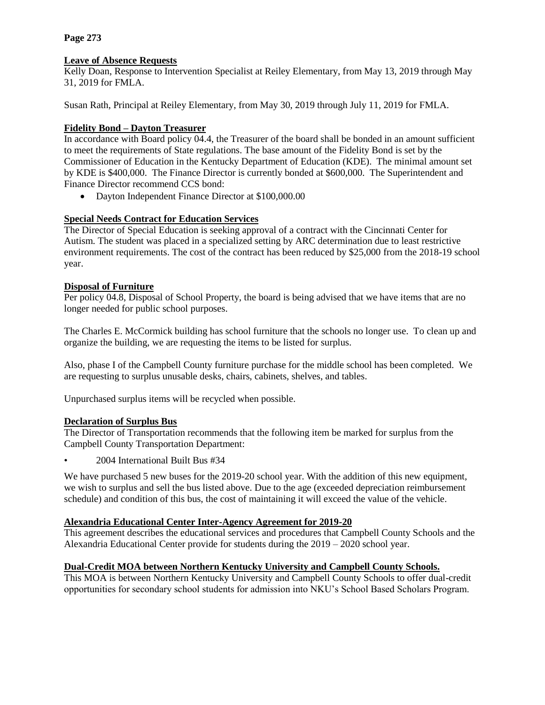# **Page 273**

# **Leave of Absence Requests**

Kelly Doan, Response to Intervention Specialist at Reiley Elementary, from May 13, 2019 through May 31, 2019 for FMLA.

Susan Rath, Principal at Reiley Elementary, from May 30, 2019 through July 11, 2019 for FMLA.

# **Fidelity Bond – Dayton Treasurer**

In accordance with Board policy 04.4, the Treasurer of the board shall be bonded in an amount sufficient to meet the requirements of State regulations. The base amount of the Fidelity Bond is set by the Commissioner of Education in the Kentucky Department of Education (KDE). The minimal amount set by KDE is \$400,000. The Finance Director is currently bonded at \$600,000. The Superintendent and Finance Director recommend CCS bond:

• Dayton Independent Finance Director at \$100,000.00

# **Special Needs Contract for Education Services**

The Director of Special Education is seeking approval of a contract with the Cincinnati Center for Autism. The student was placed in a specialized setting by ARC determination due to least restrictive environment requirements. The cost of the contract has been reduced by \$25,000 from the 2018-19 school year.

# **Disposal of Furniture**

Per policy 04.8, Disposal of School Property, the board is being advised that we have items that are no longer needed for public school purposes.

The Charles E. McCormick building has school furniture that the schools no longer use. To clean up and organize the building, we are requesting the items to be listed for surplus.

Also, phase I of the Campbell County furniture purchase for the middle school has been completed. We are requesting to surplus unusable desks, chairs, cabinets, shelves, and tables.

Unpurchased surplus items will be recycled when possible.

## **Declaration of Surplus Bus**

The Director of Transportation recommends that the following item be marked for surplus from the Campbell County Transportation Department:

• 2004 International Built Bus #34

We have purchased 5 new buses for the 2019-20 school year. With the addition of this new equipment, we wish to surplus and sell the bus listed above. Due to the age (exceeded depreciation reimbursement schedule) and condition of this bus, the cost of maintaining it will exceed the value of the vehicle.

## **Alexandria Educational Center Inter-Agency Agreement for 2019-20**

This agreement describes the educational services and procedures that Campbell County Schools and the Alexandria Educational Center provide for students during the 2019 – 2020 school year.

## **Dual-Credit MOA between Northern Kentucky University and Campbell County Schools.**

This MOA is between Northern Kentucky University and Campbell County Schools to offer dual-credit opportunities for secondary school students for admission into NKU's School Based Scholars Program.